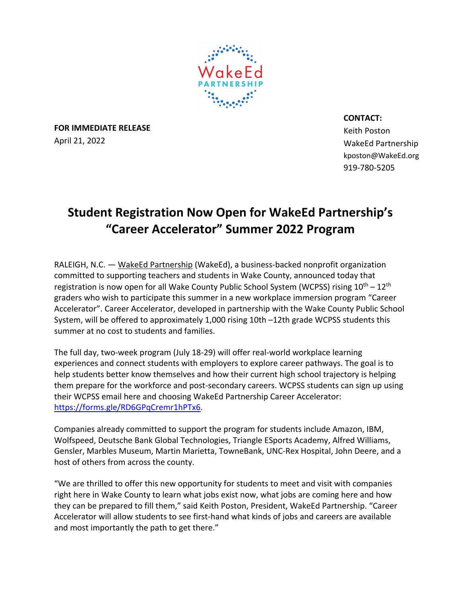

**FOR IMMEDIATE RELEASE** April 21, 2022

**CONTACT:**

Keith Poston WakeEd Partnership kposton@WakeEd.org 919-780-5205

## **Student Registration Now Open for WakeEd Partnership's "Career Accelerator" Summer 2022 Program**

RALEIGH, N.C. — WakeEd Partnership (WakeEd), a business-backed nonprofit organization committed to supporting teachers and students in Wake County, announced today that registration is now open for all Wake County Public School System (WCPSS) rising  $10^{th} - 12^{th}$ graders who wish to participate this summer in a new workplace immersion program "Career Accelerator". Career Accelerator, developed in partnership with the Wake County Public School System, will be offered to approximately 1,000 rising 10th –12th grade WCPSS students this summer at no cost to students and families.

The full day, two-week program (July 18-29) will offer real-world workplace learning experiences and connect students with employers to explore career pathways. The goal is to help students better know themselves and how their current high school trajectory is helping them prepare for the workforce and post-secondary careers. WCPSS students can sign up using their WCPSS email here and choosing WakeEd Partnership Career Accelerator: https://forms.gle/RD6GPqCremr1hPTx6.

Companies already committed to support the program for students include Amazon, IBM, Wolfspeed, Deutsche Bank Global Technologies, Triangle ESports Academy, Alfred Williams, Gensler, Marbles Museum, Martin Marietta, TowneBank, UNC-Rex Hospital, John Deere, and a host of others from across the county.

"We are thrilled to offer this new opportunity for students to meet and visit with companies right here in Wake County to learn what jobs exist now, what jobs are coming here and how they can be prepared to fill them," said Keith Poston, President, WakeEd Partnership. "Career Accelerator will allow students to see first-hand what kinds of jobs and careers are available and most importantly the path to get there."